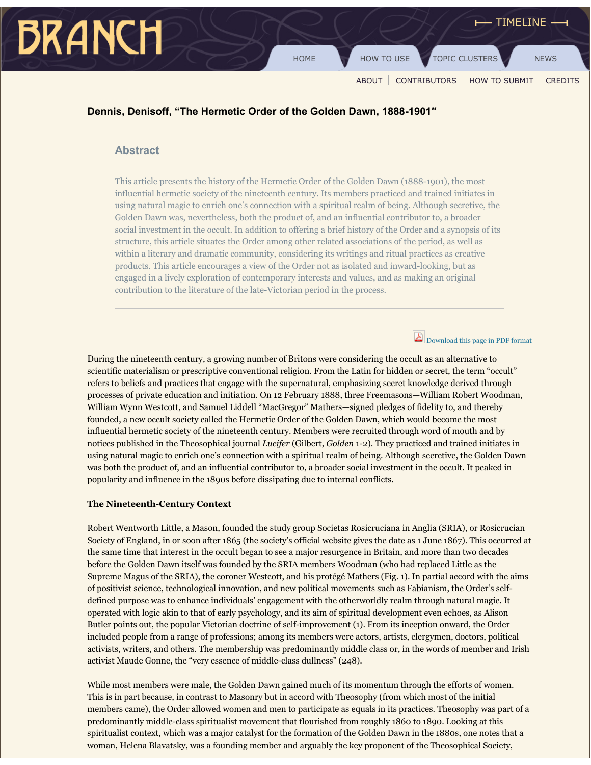HOME TOPIC CLUSTERS TO NEWS

ABOUT | CONTRIBUTORS | HOW TO SUBMIT | CREDITS

# **Dennis, Denisoff, "The Hermetic Order of the Golden Dawn, 1888-1901″**

## **Abstract**

**BRANCH** 

This article presents the history of the Hermetic Order of the Golden Dawn (1888-1901), the most influential hermetic society of the nineteenth century. Its members practiced and trained initiates in using natural magic to enrich one's connection with a spiritual realm of being. Although secretive, the Golden Dawn was, nevertheless, both the product of, and an influential contributor to, a broader social investment in the occult. In addition to offering a brief history of the Order and a synopsis of its structure, this article situates the Order among other related associations of the period, as well as within a literary and dramatic community, considering its writings and ritual practices as creative products. This article encourages a view of the Order not as isolated and inward-looking, but as engaged in a lively exploration of contemporary interests and values, and as making an original contribution to the literature of the late-Victorian period in the process.

Download this page in PDF format

During the nineteenth century, a growing number of Britons were considering the occult as an alternative to scientific materialism or prescriptive conventional religion. From the Latin for hidden or secret, the term "occult" refers to beliefs and practices that engage with the supernatural, emphasizing secret knowledge derived through processes of private education and initiation. On 12 February 1888, three Freemasons—William Robert Woodman, William Wynn Westcott, and Samuel Liddell "MacGregor" Mathers—signed pledges of fidelity to, and thereby founded, a new occult society called the Hermetic Order of the Golden Dawn, which would become the most influential hermetic society of the nineteenth century. Members were recruited through word of mouth and by notices published in the Theosophical journal *Lucifer* (Gilbert, *Golden* 1-2). They practiced and trained initiates in using natural magic to enrich one's connection with a spiritual realm of being. Although secretive, the Golden Dawn was both the product of, and an influential contributor to, a broader social investment in the occult. It peaked in popularity and influence in the 1890s before dissipating due to internal conflicts.

### **The Nineteenth-Century Context**

Robert Wentworth Little, a Mason, founded the study group Societas Rosicruciana in Anglia (SRIA), or Rosicrucian Society of England, in or soon after 1865 (the society's official website gives the date as 1 June 1867). This occurred at the same time that interest in the occult began to see a major resurgence in Britain, and more than two decades before the Golden Dawn itself was founded by the SRIA members Woodman (who had replaced Little as the Supreme Magus of the SRIA), the coroner Westcott, and his protégé Mathers (Fig. 1). In partial accord with the aims of positivist science, technological innovation, and new political movements such as Fabianism, the Order's selfdefined purpose was to enhance individuals' engagement with the otherworldly realm through natural magic. It operated with logic akin to that of early psychology, and its aim of spiritual development even echoes, as Alison Butler points out, the popular Victorian doctrine of self-improvement (1). From its inception onward, the Order included people from a range of professions; among its members were actors, artists, clergymen, doctors, political activists, writers, and others. The membership was predominantly middle class or, in the words of member and Irish activist Maude Gonne, the "very essence of middle-class dullness" (248).

While most members were male, the Golden Dawn gained much of its momentum through the efforts of women. This is in part because, in contrast to Masonry but in accord with Theosophy (from which most of the initial members came), the Order allowed women and men to participate as equals in its practices. Theosophy was part of a predominantly middle-class spiritualist movement that flourished from roughly 1860 to 1890. Looking at this spiritualist context, which was a major catalyst for the formation of the Golden Dawn in the 1880s, one notes that a woman, Helena Blavatsky, was a founding member and arguably the key proponent of the Theosophical Society,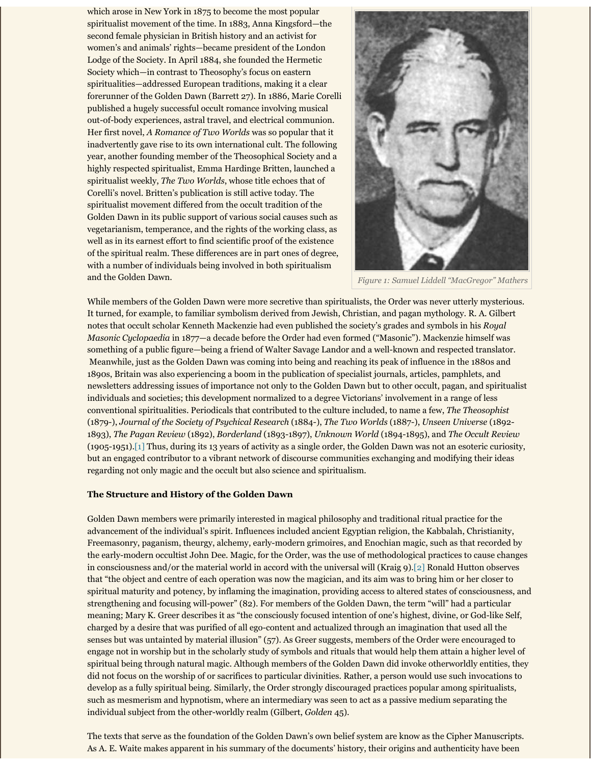which arose in New York in 1875 to become the most popular spiritualist movement of the time. In 1883, Anna Kingsford—the second female physician in British history and an activist for women's and animals' rights—became president of the London Lodge of the Society. In April 1884, she founded the Hermetic Society which—in contrast to Theosophy's focus on eastern spiritualities—addressed European traditions, making it a clear forerunner of the Golden Dawn (Barrett 27). In 1886, Marie Corelli published a hugely successful occult romance involving musical out-of-body experiences, astral travel, and electrical communion. Her first novel, *A Romance of Two Worlds* was so popular that it inadvertently gave rise to its own international cult. The following year, another founding member of the Theosophical Society and a highly respected spiritualist, Emma Hardinge Britten, launched a spiritualist weekly, *The Two Worlds*, whose title echoes that of Corelli's novel. Britten's publication is still active today. The spiritualist movement differed from the occult tradition of the Golden Dawn in its public support of various social causes such as vegetarianism, temperance, and the rights of the working class, as well as in its earnest effort to find scientific proof of the existence of the spiritual realm. These differences are in part ones of degree, with a number of individuals being involved in both spiritualism and the Golden Dawn.



*Figure 1: Samuel Liddell "MacGregor" Mathers*

While members of the Golden Dawn were more secretive than spiritualists, the Order was never utterly mysterious. It turned, for example, to familiar symbolism derived from Jewish, Christian, and pagan mythology. R. A. Gilbert notes that occult scholar Kenneth Mackenzie had even published the society's grades and symbols in his *Royal Masonic Cyclopaedia* in 1877—a decade before the Order had even formed ("Masonic"). Mackenzie himself was something of a public figure—being a friend of Walter Savage Landor and a well-known and respected translator. Meanwhile, just as the Golden Dawn was coming into being and reaching its peak of influence in the 1880s and 1890s, Britain was also experiencing a boom in the publication of specialist journals, articles, pamphlets, and newsletters addressing issues of importance not only to the Golden Dawn but to other occult, pagan, and spiritualist individuals and societies; this development normalized to a degree Victorians' involvement in a range of less conventional spiritualities. Periodicals that contributed to the culture included, to name a few, *The Theosophist* (1879-), *Journal of the Society of Psychical Research* (1884-), *The Two Worlds* (1887-), *Unseen Universe* (1892- 1893), *The Pagan Review* (1892), *Borderland* (1893-1897), *Unknown World* (1894-1895), and *The Occult Review* (1905-1951).[1] Thus, during its 13 years of activity as a single order, the Golden Dawn was not an esoteric curiosity, but an engaged contributor to a vibrant network of discourse communities exchanging and modifying their ideas regarding not only magic and the occult but also science and spiritualism.

#### **The Structure and History of the Golden Dawn**

Golden Dawn members were primarily interested in magical philosophy and traditional ritual practice for the advancement of the individual's spirit. Influences included ancient Egyptian religion, the Kabbalah, Christianity, Freemasonry, paganism, theurgy, alchemy, early-modern grimoires, and Enochian magic, such as that recorded by the early-modern occultist John Dee. Magic, for the Order, was the use of methodological practices to cause changes in consciousness and/or the material world in accord with the universal will (Kraig 9).[2] Ronald Hutton observes that "the object and centre of each operation was now the magician, and its aim was to bring him or her closer to spiritual maturity and potency, by inflaming the imagination, providing access to altered states of consciousness, and strengthening and focusing will-power" (82). For members of the Golden Dawn, the term "will" had a particular meaning; Mary K. Greer describes it as "the consciously focused intention of one's highest, divine, or God-like Self, charged by a desire that was purified of all ego-content and actualized through an imagination that used all the senses but was untainted by material illusion" (57). As Greer suggests, members of the Order were encouraged to engage not in worship but in the scholarly study of symbols and rituals that would help them attain a higher level of spiritual being through natural magic. Although members of the Golden Dawn did invoke otherworldly entities, they did not focus on the worship of or sacrifices to particular divinities. Rather, a person would use such invocations to develop as a fully spiritual being. Similarly, the Order strongly discouraged practices popular among spiritualists, such as mesmerism and hypnotism, where an intermediary was seen to act as a passive medium separating the individual subject from the other-worldly realm (Gilbert, *Golden* 45).

The texts that serve as the foundation of the Golden Dawn's own belief system are know as the Cipher Manuscripts. As A. E. Waite makes apparent in his summary of the documents' history, their origins and authenticity have been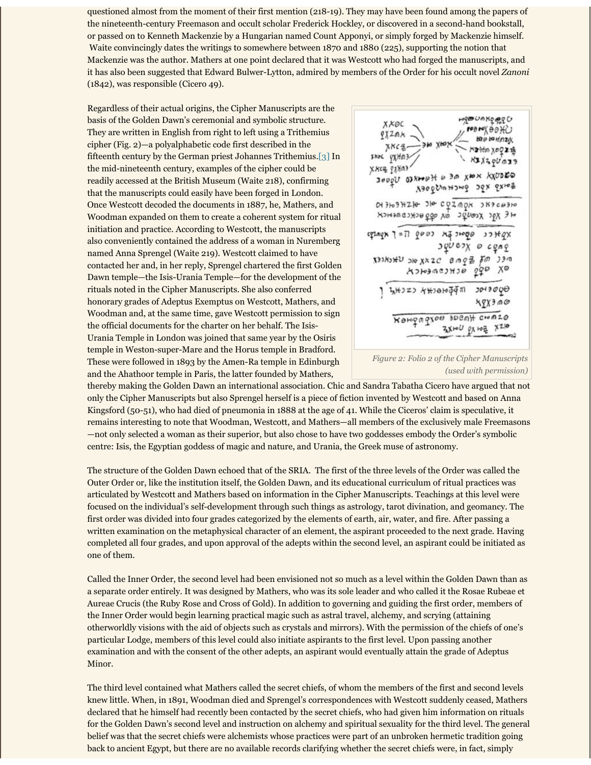questioned almost from the moment of their first mention (218-19). They may have been found among the papers of the nineteenth-century Freemason and occult scholar Frederick Hockley, or discovered in a second-hand bookstall, or passed on to Kenneth Mackenzie by a Hungarian named Count Apponyi, or simply forged by Mackenzie himself. Waite convincingly dates the writings to somewhere between 1870 and 1880 (225), supporting the notion that Mackenzie was the author. Mathers at one point declared that it was Westcott who had forged the manuscripts, and it has also been suggested that Edward Bulwer-Lytton, admired by members of the Order for his occult novel *Zanoni* (1842), was responsible (Cicero 49).

Regardless of their actual origins, the Cipher Manuscripts are the basis of the Golden Dawn's ceremonial and symbolic structure. They are written in English from right to left using a Trithemius cipher (Fig. 2)—a polyalphabetic code first described in the fifteenth century by the German priest Johannes Trithemius.[3] In the mid-nineteenth century, examples of the cipher could be readily accessed at the British Museum (Waite 218), confirming that the manuscripts could easily have been forged in London. Once Westcott decoded the documents in 1887, he, Mathers, and Woodman expanded on them to create a coherent system for ritual initiation and practice. According to Westcott, the manuscripts also conveniently contained the address of a woman in Nuremberg named Anna Sprengel (Waite 219). Westcott claimed to have contacted her and, in her reply, Sprengel chartered the first Golden Dawn temple—the Isis-Urania Temple—for the development of the rituals noted in the Cipher Manuscripts. She also conferred honorary grades of Adeptus Exemptus on Westcott, Mathers, and Woodman and, at the same time, gave Westcott permission to sign the official documents for the charter on her behalf. The Isis-Urania Temple in London was joined that same year by the Osiris temple in Weston-super-Mare and the Horus temple in Bradford. These were followed in 1893 by the Amen-Ra temple in Edinburgh and the Ahathoor temple in Paris, the latter founded by Mathers,

*Figure 2: Folio 2 of the Cipher Manuscripts*

*(used with permission)*

thereby making the Golden Dawn an international association. Chic and Sandra Tabatha Cicero have argued that not only the Cipher Manuscripts but also Sprengel herself is a piece of fiction invented by Westcott and based on Anna Kingsford (50-51), who had died of pneumonia in 1888 at the age of 41. While the Ciceros' claim is speculative, it remains interesting to note that Woodman, Westcott, and Mathers—all members of the exclusively male Freemasons —not only selected a woman as their superior, but also chose to have two goddesses embody the Order's symbolic centre: Isis, the Egyptian goddess of magic and nature, and Urania, the Greek muse of astronomy.

The structure of the Golden Dawn echoed that of the SRIA. The first of the three levels of the Order was called the Outer Order or, like the institution itself, the Golden Dawn, and its educational curriculum of ritual practices was articulated by Westcott and Mathers based on information in the Cipher Manuscripts. Teachings at this level were focused on the individual's self-development through such things as astrology, tarot divination, and geomancy. The first order was divided into four grades categorized by the elements of earth, air, water, and fire. After passing a written examination on the metaphysical character of an element, the aspirant proceeded to the next grade. Having completed all four grades, and upon approval of the adepts within the second level, an aspirant could be initiated as one of them.

Called the Inner Order, the second level had been envisioned not so much as a level within the Golden Dawn than as a separate order entirely. It was designed by Mathers, who was its sole leader and who called it the Rosae Rubeae et Aureae Crucis (the Ruby Rose and Cross of Gold). In addition to governing and guiding the first order, members of the Inner Order would begin learning practical magic such as astral travel, alchemy, and scrying (attaining otherworldly visions with the aid of objects such as crystals and mirrors). With the permission of the chiefs of one's particular Lodge, members of this level could also initiate aspirants to the first level. Upon passing another examination and with the consent of the other adepts, an aspirant would eventually attain the grade of Adeptus Minor.

The third level contained what Mathers called the secret chiefs, of whom the members of the first and second levels knew little. When, in 1891, Woodman died and Sprengel's correspondences with Westcott suddenly ceased, Mathers declared that he himself had recently been contacted by the secret chiefs, who had given him information on rituals for the Golden Dawn's second level and instruction on alchemy and spiritual sexuality for the third level. The general belief was that the secret chiefs were alchemists whose practices were part of an unbroken hermetic tradition going back to ancient Egypt, but there are no available records clarifying whether the secret chiefs were, in fact, simply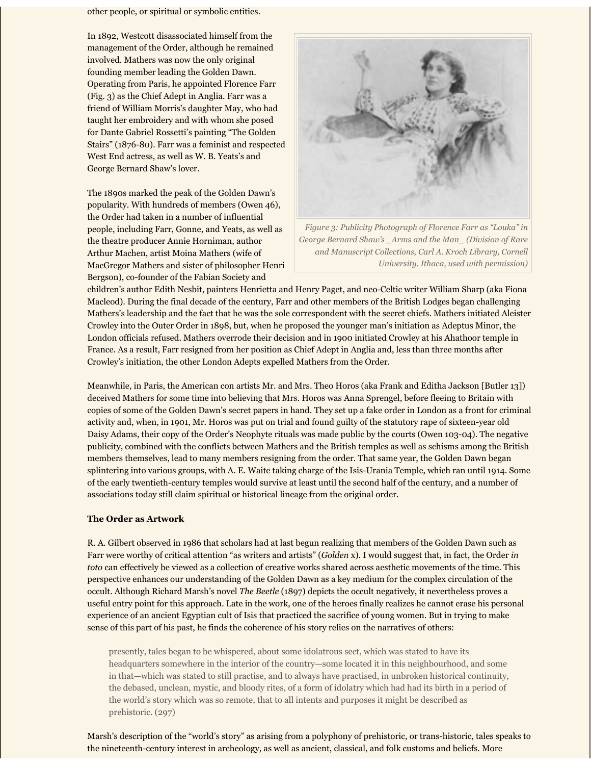other people, or spiritual or symbolic entities.

In 1892, Westcott disassociated himself from the management of the Order, although he remained involved. Mathers was now the only original founding member leading the Golden Dawn. Operating from Paris, he appointed Florence Farr (Fig. 3) as the Chief Adept in Anglia. Farr was a friend of William Morris's daughter May, who had taught her embroidery and with whom she posed for Dante Gabriel Rossetti's painting "The Golden Stairs" (1876-80). Farr was a feminist and respected West End actress, as well as W. B. Yeats's and George Bernard Shaw's lover.

The 1890s marked the peak of the Golden Dawn's popularity. With hundreds of members (Owen 46), the Order had taken in a number of influential people, including Farr, Gonne, and Yeats, as well as the theatre producer Annie Horniman, author Arthur Machen, artist Moina Mathers (wife of MacGregor Mathers and sister of philosopher Henri Bergson), co-founder of the Fabian Society and



*Figure 3: Publicity Photograph of Florence Farr as "Louka" in George Bernard Shaw's \_Arms and the Man\_ (Division of Rare and Manuscript Collections, Carl A. Kroch Library, Cornell University, Ithaca, used with permission)*

children's author Edith Nesbit, painters Henrietta and Henry Paget, and neo-Celtic writer William Sharp (aka Fiona Macleod). During the final decade of the century, Farr and other members of the British Lodges began challenging Mathers's leadership and the fact that he was the sole correspondent with the secret chiefs. Mathers initiated Aleister Crowley into the Outer Order in 1898, but, when he proposed the younger man's initiation as Adeptus Minor, the London officials refused. Mathers overrode their decision and in 1900 initiated Crowley at his Ahathoor temple in France. As a result, Farr resigned from her position as Chief Adept in Anglia and, less than three months after Crowley's initiation, the other London Adepts expelled Mathers from the Order.

Meanwhile, in Paris, the American con artists Mr. and Mrs. Theo Horos (aka Frank and Editha Jackson [Butler 13]) deceived Mathers for some time into believing that Mrs. Horos was Anna Sprengel, before fleeing to Britain with copies of some of the Golden Dawn's secret papers in hand. They set up a fake order in London as a front for criminal activity and, when, in 1901, Mr. Horos was put on trial and found guilty of the statutory rape of sixteen-year old Daisy Adams, their copy of the Order's Neophyte rituals was made public by the courts (Owen 103-04). The negative publicity, combined with the conflicts between Mathers and the British temples as well as schisms among the British members themselves, lead to many members resigning from the order. That same year, the Golden Dawn began splintering into various groups, with A. E. Waite taking charge of the Isis-Urania Temple, which ran until 1914. Some of the early twentieth-century temples would survive at least until the second half of the century, and a number of associations today still claim spiritual or historical lineage from the original order.

#### **The Order as Artwork**

R. A. Gilbert observed in 1986 that scholars had at last begun realizing that members of the Golden Dawn such as Farr were worthy of critical attention "as writers and artists" (*Golden* x). I would suggest that, in fact, the Order *in toto* can effectively be viewed as a collection of creative works shared across aesthetic movements of the time. This perspective enhances our understanding of the Golden Dawn as a key medium for the complex circulation of the occult. Although Richard Marsh's novel *The Beetle* (1897) depicts the occult negatively, it nevertheless proves a useful entry point for this approach. Late in the work, one of the heroes finally realizes he cannot erase his personal experience of an ancient Egyptian cult of Isis that practiced the sacrifice of young women. But in trying to make sense of this part of his past, he finds the coherence of his story relies on the narratives of others:

presently, tales began to be whispered, about some idolatrous sect, which was stated to have its headquarters somewhere in the interior of the country—some located it in this neighbourhood, and some in that—which was stated to still practise, and to always have practised, in unbroken historical continuity, the debased, unclean, mystic, and bloody rites, of a form of idolatry which had had its birth in a period of the world's story which was so remote, that to all intents and purposes it might be described as prehistoric. (297)

Marsh's description of the "world's story" as arising from a polyphony of prehistoric, or trans-historic, tales speaks to the nineteenth-century interest in archeology, as well as ancient, classical, and folk customs and beliefs. More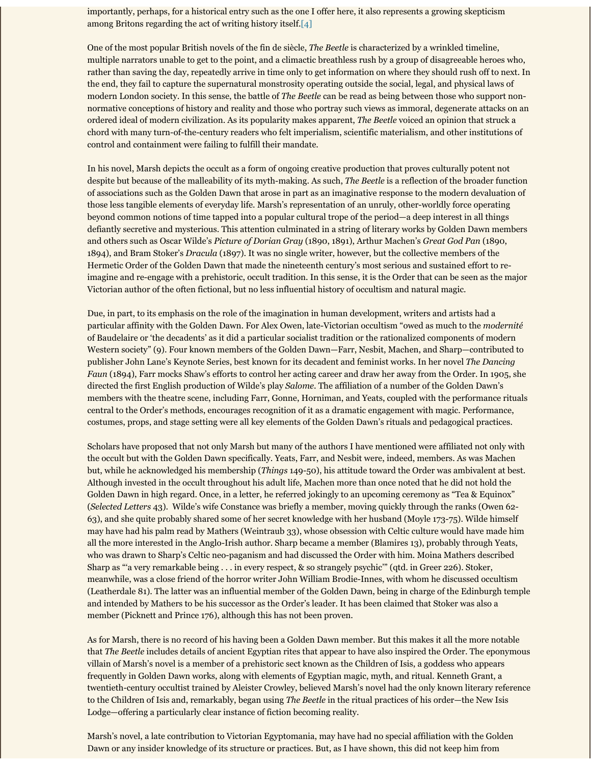importantly, perhaps, for a historical entry such as the one I offer here, it also represents a growing skepticism among Britons regarding the act of writing history itself.[4]

One of the most popular British novels of the fin de siècle, *The Beetle* is characterized by a wrinkled timeline, multiple narrators unable to get to the point, and a climactic breathless rush by a group of disagreeable heroes who, rather than saving the day, repeatedly arrive in time only to get information on where they should rush off to next. In the end, they fail to capture the supernatural monstrosity operating outside the social, legal, and physical laws of modern London society. In this sense, the battle of *The Beetle* can be read as being between those who support nonnormative conceptions of history and reality and those who portray such views as immoral, degenerate attacks on an ordered ideal of modern civilization. As its popularity makes apparent, *The Beetle* voiced an opinion that struck a chord with many turn-of-the-century readers who felt imperialism, scientific materialism, and other institutions of control and containment were failing to fulfill their mandate.

In his novel, Marsh depicts the occult as a form of ongoing creative production that proves culturally potent not despite but because of the malleability of its myth-making. As such, *The Beetle* is a reflection of the broader function of associations such as the Golden Dawn that arose in part as an imaginative response to the modern devaluation of those less tangible elements of everyday life. Marsh's representation of an unruly, other-worldly force operating beyond common notions of time tapped into a popular cultural trope of the period—a deep interest in all things defiantly secretive and mysterious. This attention culminated in a string of literary works by Golden Dawn members and others such as Oscar Wilde's *Picture of Dorian Gray* (1890, 1891), Arthur Machen's *Great God Pan* (1890, 1894), and Bram Stoker's *Dracula* (1897). It was no single writer, however, but the collective members of the Hermetic Order of the Golden Dawn that made the nineteenth century's most serious and sustained effort to reimagine and re-engage with a prehistoric, occult tradition. In this sense, it is the Order that can be seen as the major Victorian author of the often fictional, but no less influential history of occultism and natural magic.

Due, in part, to its emphasis on the role of the imagination in human development, writers and artists had a particular affinity with the Golden Dawn. For Alex Owen, late-Victorian occultism "owed as much to the *modernité* of Baudelaire or 'the decadents' as it did a particular socialist tradition or the rationalized components of modern Western society" (9). Four known members of the Golden Dawn—Farr, Nesbit, Machen, and Sharp—contributed to publisher John Lane's Keynote Series, best known for its decadent and feminist works. In her novel *The Dancing Faun* (1894), Farr mocks Shaw's efforts to control her acting career and draw her away from the Order. In 1905, she directed the first English production of Wilde's play *Salome*. The affiliation of a number of the Golden Dawn's members with the theatre scene, including Farr, Gonne, Horniman, and Yeats, coupled with the performance rituals central to the Order's methods, encourages recognition of it as a dramatic engagement with magic. Performance, costumes, props, and stage setting were all key elements of the Golden Dawn's rituals and pedagogical practices.

Scholars have proposed that not only Marsh but many of the authors I have mentioned were affiliated not only with the occult but with the Golden Dawn specifically. Yeats, Farr, and Nesbit were, indeed, members. As was Machen but, while he acknowledged his membership (*Things* 149-50), his attitude toward the Order was ambivalent at best. Although invested in the occult throughout his adult life, Machen more than once noted that he did not hold the Golden Dawn in high regard. Once, in a letter, he referred jokingly to an upcoming ceremony as "Tea & Equinox" (*Selected Letters* 43). Wilde's wife Constance was briefly a member, moving quickly through the ranks (Owen 62- 63), and she quite probably shared some of her secret knowledge with her husband (Moyle 173-75). Wilde himself may have had his palm read by Mathers (Weintraub 33), whose obsession with Celtic culture would have made him all the more interested in the Anglo-Irish author. Sharp became a member (Blamires 13), probably through Yeats, who was drawn to Sharp's Celtic neo-paganism and had discussed the Order with him. Moina Mathers described Sharp as "'a very remarkable being . . . in every respect, & so strangely psychic'" (qtd. in Greer 226). Stoker, meanwhile, was a close friend of the horror writer John William Brodie-Innes, with whom he discussed occultism (Leatherdale 81). The latter was an influential member of the Golden Dawn, being in charge of the Edinburgh temple and intended by Mathers to be his successor as the Order's leader. It has been claimed that Stoker was also a member (Picknett and Prince 176), although this has not been proven.

As for Marsh, there is no record of his having been a Golden Dawn member. But this makes it all the more notable that *The Beetle* includes details of ancient Egyptian rites that appear to have also inspired the Order. The eponymous villain of Marsh's novel is a member of a prehistoric sect known as the Children of Isis, a goddess who appears frequently in Golden Dawn works, along with elements of Egyptian magic, myth, and ritual. Kenneth Grant, a twentieth-century occultist trained by Aleister Crowley, believed Marsh's novel had the only known literary reference to the Children of Isis and, remarkably, began using *The Beetle* in the ritual practices of his order—the New Isis Lodge—offering a particularly clear instance of fiction becoming reality.

Marsh's novel, a late contribution to Victorian Egyptomania, may have had no special affiliation with the Golden Dawn or any insider knowledge of its structure or practices. But, as I have shown, this did not keep him from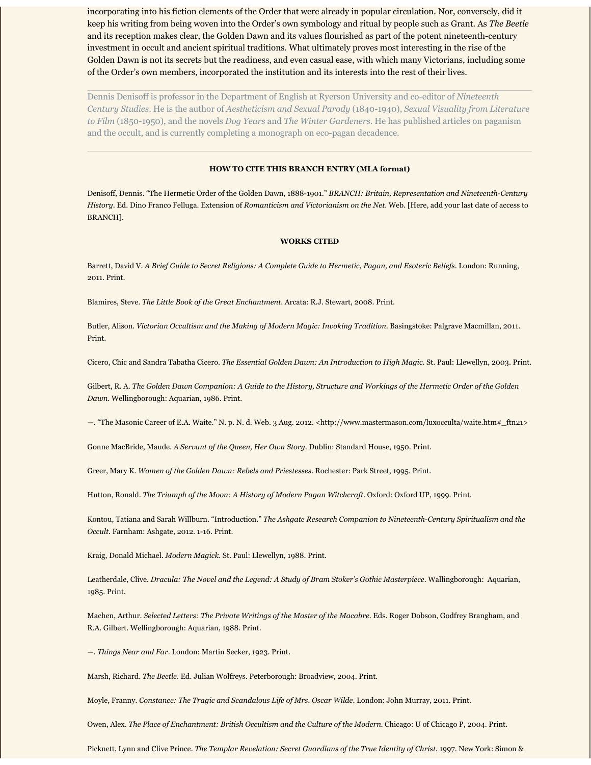incorporating into his fiction elements of the Order that were already in popular circulation. Nor, conversely, did it keep his writing from being woven into the Order's own symbology and ritual by people such as Grant. As *The Beetle* and its reception makes clear, the Golden Dawn and its values flourished as part of the potent nineteenth-century investment in occult and ancient spiritual traditions. What ultimately proves most interesting in the rise of the Golden Dawn is not its secrets but the readiness, and even casual ease, with which many Victorians, including some of the Order's own members, incorporated the institution and its interests into the rest of their lives.

Dennis Denisoff is professor in the Department of English at Ryerson University and co-editor of *Nineteenth Century Studies*. He is the author of *Aestheticism and Sexual Parody* (1840-1940), *Sexual Visuality from Literature to Film* (1850-1950), and the novels *Dog Years* and *The Winter Gardeners*. He has published articles on paganism and the occult, and is currently completing a monograph on eco-pagan decadence.

#### **HOW TO CITE THIS BRANCH ENTRY (MLA format)**

Denisoff, Dennis. "The Hermetic Order of the Golden Dawn, 1888-1901." *BRANCH: Britain, Representation and Nineteenth-Century History*. Ed. Dino Franco Felluga. Extension of *Romanticism and Victorianism on the Net*. Web. [Here, add your last date of access to BRANCH].

#### **WORKS CITED**

Barrett, David V. *A Brief Guide to Secret Religions: A Complete Guide to Hermetic, Pagan, and Esoteric Beliefs*. London: Running, 2011. Print.

Blamires, Steve. *The Little Book of the Great Enchantment*. Arcata: R.J. Stewart, 2008. Print.

Butler, Alison. *Victorian Occultism and the Making of Modern Magic: Invoking Tradition*. Basingstoke: Palgrave Macmillan, 2011. Print.

Cicero, Chic and Sandra Tabatha Cicero. *The Essential Golden Dawn: An Introduction to High Magic*. St. Paul: Llewellyn, 2003. Print.

Gilbert, R. A. *The Golden Dawn Companion: A Guide to the History, Structure and Workings of the Hermetic Order of the Golden Dawn*. Wellingborough: Aquarian, 1986. Print.

—. "The Masonic Career of E.A. Waite." N. p. N. d. Web. 3 Aug. 2012. <http://www.mastermason.com/luxocculta/waite.htm#\_ftn21>

Gonne MacBride, Maude. *A Servant of the Queen, Her Own Story*. Dublin: Standard House, 1950. Print.

Greer, Mary K. *Women of the Golden Dawn: Rebels and Priestesses*. Rochester: Park Street, 1995. Print.

Hutton, Ronald. *The Triumph of the Moon: A History of Modern Pagan Witchcraft*. Oxford: Oxford UP, 1999. Print.

Kontou, Tatiana and Sarah Willburn. "Introduction." *The Ashgate Research Companion to Nineteenth-Century Spiritualism and the Occult*. Farnham: Ashgate, 2012. 1-16. Print.

Kraig, Donald Michael. *Modern Magick*. St. Paul: Llewellyn, 1988. Print.

Leatherdale, Clive. *Dracula: The Novel and the Legend: A Study of Bram Stoker's Gothic Masterpiece*. Wallingborough: Aquarian, 1985. Print.

Machen, Arthur. *Selected Letters: The Private Writings of the Master of the Macabre*. Eds. Roger Dobson, Godfrey Brangham, and R.A. Gilbert. Wellingborough: Aquarian, 1988. Print.

—. *Things Near and Far*. London: Martin Secker, 1923. Print.

Marsh, Richard. *The Beetle*. Ed. Julian Wolfreys. Peterborough: Broadview, 2004. Print.

Moyle, Franny. *Constance: The Tragic and Scandalous Life of Mrs. Oscar Wilde*. London: John Murray, 2011. Print.

Owen, Alex. *The Place of Enchantment: British Occultism and the Culture of the Modern*. Chicago: U of Chicago P, 2004. Print.

Picknett, Lynn and Clive Prince. *The Templar Revelation: Secret Guardians of the True Identity of Christ*. 1997. New York: Simon &